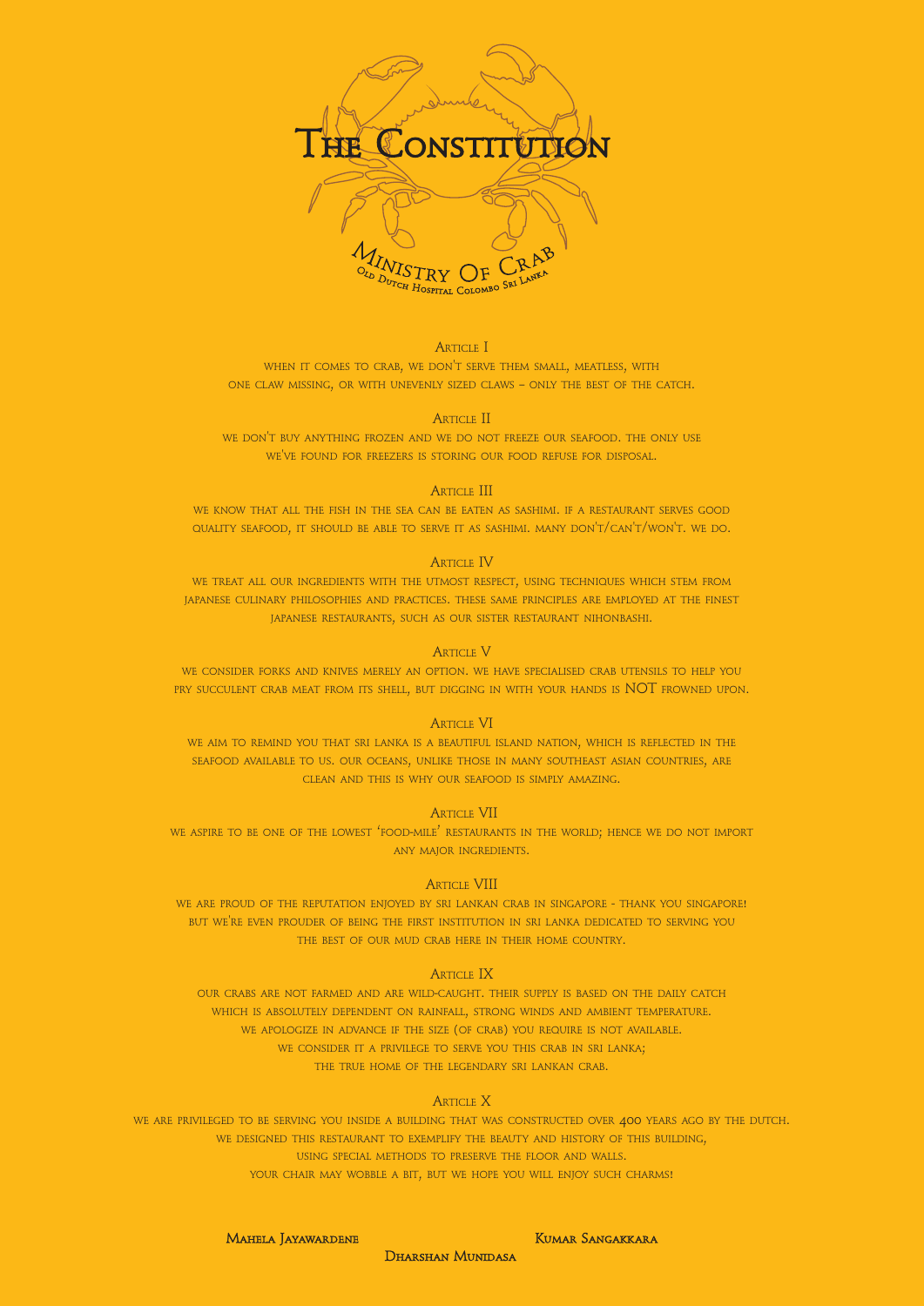

# ARTICLE I

WHEN IT COMES TO CRAB, WE DON'T SERVE THEM SMALL, MEATLESS, WITH ONE CLAW MISSING, OR WITH UNEVENLY SIZED CLAWS – ONLY THE BEST OF THE CATCH.

# ARTICLE II

WE DON'T BUY ANYTHING FROZEN AND WE DO NOT FREEZE OUR SEAFOOD. THE ONLY USE WE'VE FOUND FOR FREEZERS IS STORING OUR FOOD REFUSE FOR DISPOSAL.

# **ARTICLE III**

WE CONSIDER FORKS AND KNIVES MERELY AN OPTION. WE HAVE SPECIALISED CRAB UTENSILS TO HELP YOU PRY SUCCULENT CRAB MEAT FROM ITS SHELL, BUT DIGGING IN WITH YOUR HANDS IS NOT FROWNED UPON.

WE KNOW THAT ALL THE FISH IN THE SEA CAN BE EATEN AS SASHIMI. IF <sup>A</sup> RESTAURANT SERVES GOOD QUALITY SEAFOOD, IT SHOULD BE ABLE TO SERVE IT AS SASHIMI. MANY DON'T/CAN'T/WON'T. WE DO.

# **ARTICLE IV**

WE TREAT ALL OUR INGREDIENTS WITH THE UTMOST RESPECT, USING TECHNIQUES WHICH STEM FROM JAPANESE CULINARY PHILOSOPHIES AND PRACTICES. THESE SAME PRINCIPLES ARE EMPLOYED AT THE FINEST JAPANESE RESTAURANTS, SUCH AS OUR SISTER RESTAURANT NIHONBASHI.

## ARTICLE V

# ARTICLE VI

WE AIM TO REMIND YOU THAT SRI LANKA IS <sup>A</sup> BEAUTIFUL ISLAND NATION, WHICH IS REFLECTED IN THE SEAFOOD AVAILABLE TO US. OUR OCEANS, UNLIKE THOSE IN MANY SOUTHEAST ASIAN COUNTRIES, ARE CLEAN AND THIS IS WHY OUR SEAFOOD IS SIMPLY AMAZING.

## ARTICLE VII

WE ASPIRE TO BE ONE OF THE LOWEST 'FOOD-MILE' RESTAURANTS IN THE WORLD; HENCE WE DO NOT IMPORT ANY MAJOR INGREDIENTS.

## ARTICLE VIII

WE ARE PROUD OF THE REPUTATION ENJOYED BY SRI LANKAN CRAB IN SINGAPORE - THANK YOU SINGAPORE! BUT WE'RE EVEN PROUDER OF BEING THE FIRST INSTITUTION IN SRI LANKA DEDICATED TO SERVING YOU THE BEST OF OUR MUD CRAB HERE IN THEIR HOME COUNTRY.

# **ARTICLE IX**

OUR CRABS ARE NOT FARMED AND ARE WILD-CAUGHT. THEIR SUPPLY IS BASED ON THE DAILY CATCH WHICH IS ABSOLUTELY DEPENDENT ON RAINFALL, STRONG WINDS AND AMBIENT TEMPERATURE. WE APOLOGIZE IN ADVANCE IF THE SIZE (OF CRAB) YOU REQUIRE IS NOT AVAILABLE. WE CONSIDER IT A PRIVILEGE TO SERVE YOU THIS CRAB IN SRI LANKA; THE TRUE HOME OF THE LEGENDARY SRI LANKAN CRAB.

ARTICLE X

WE ARE PRIVILEGED TO BE SERVING YOU INSIDE A BUILDING THAT WAS CONSTRUCTED OVER 400 YEARS AGO BY THE DUTCH. WE DESIGNED THIS RESTAURANT TO EXEMPLIFY THE BEAUTY AND HISTORY OF THIS BUILDING, USING SPECIAL METHODS TO PRESERVE THE FLOOR AND WALLS. YOUR CHAIR MAY WOBBLE A BIT, BUT WE HOPE YOU WILL ENJOY SUCH CHARMS!

MAHELA JAYAWARDENE

**KUMAR SANGAKKARA** 

**DHARSHAN MUNIDASA**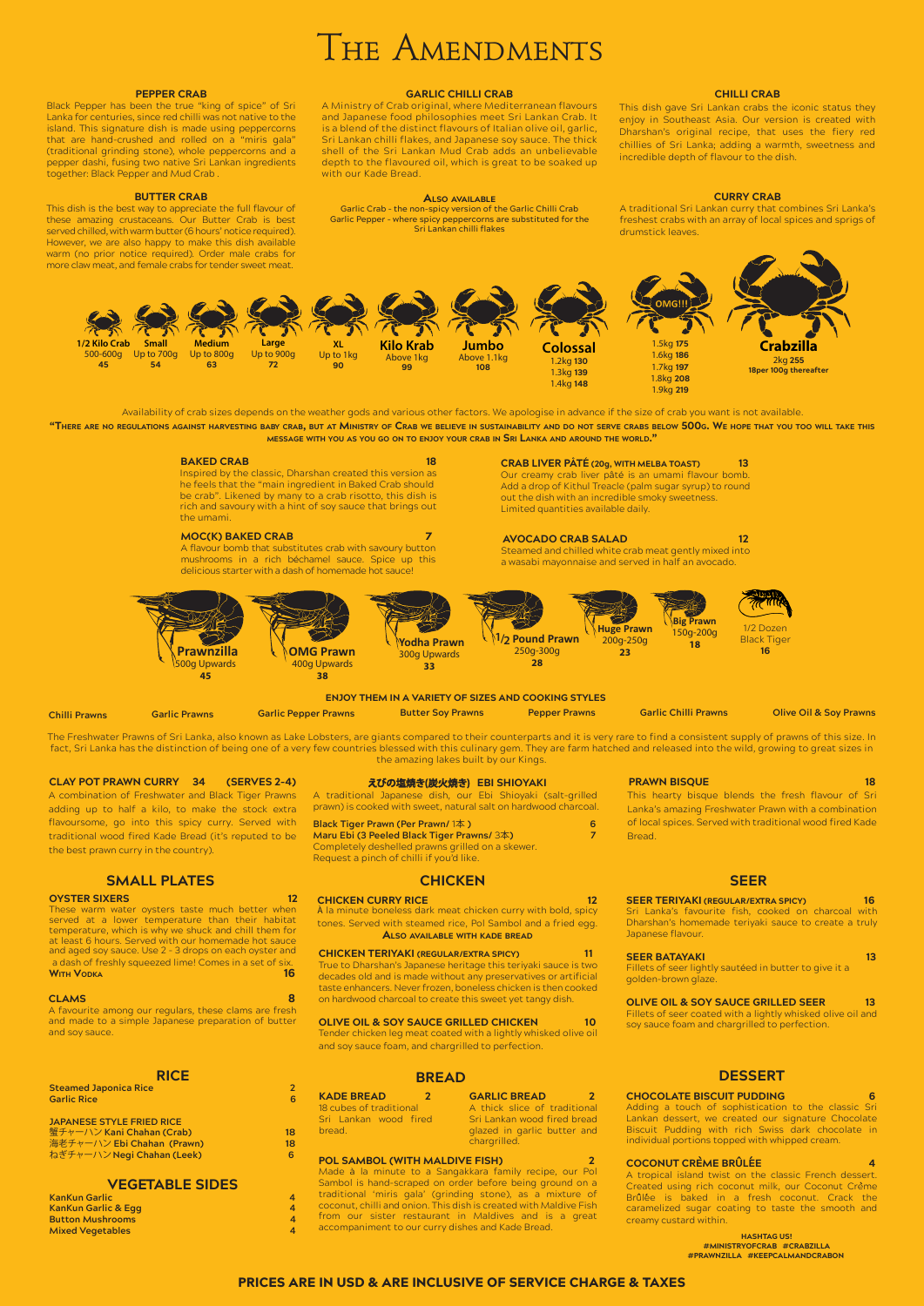# THE AMENDMENTS

#### **PEPPER CRAB**

Black Pepper has been the true "king of spice" of Sri Lanka for centuries, since red chilli was not native to the island. This signature dish is made using peppercorns that are hand-crushed and rolled on a "miris gala" (traditional grinding stone), whole peppercorns and a pepper dashi, fusing two native Sri Lankan ingredients together: Black Pepper and Mud Crab .

#### **CHILLI CRAB**

This dish gave Sri Lankan crabs the iconic status they enjoy in Southeast Asia. Our version is created with Dharshan's original recipe, that uses the fiery red chillies of Sri Lanka; adding a warmth, sweetness and incredible depth of flavour to the dish.

#### **BUTTER CRAB**

This dish is the best way to appreciate the full flavour of these amazing crustaceans. Our Butter Crab is best served chilled, with warm butter (6 hours' notice required). However, we are also happy to make this dish available warm (no prior notice required). Order male crabs for more claw meat, and female crabs for tender sweet meat.

#### **GARLIC CHILLI CRAB**

A Ministry of Crab original, where Mediterranean flavours and Japanese food philosophies meet Sri Lankan Crab. It is a blend of the distinct flavours of Italian olive oil, garlic, Sri Lankan chilli flakes, and Japanese soy sauce. The thick shell of the Sri Lankan Mud Crab adds an unbelievable depth to the flavoured oil, which is great to be soaked up with our Kade Bread.

**ALSO AVAILABLE** Garlic Crab – the non-spicy version of the Garlic Chilli Crab Garlic Pepper – where spicy peppercorns are substituted for the Sri Lankan chilli flakes

"THERE ARE NO REGULATIONS AGAINST HARVESTING BABY CRAB, BUT AT MINISTRY OF CRAB WE BELIEVE IN SUSTAINABILITY AND DO NOT SERVE CRABS BELOW 500G. WE HOPE THAT YOU TOO WILL TAKE THIS **MESSAGE WITH YOU AS YOU GO ON TO ENJOY YOUR CRAB IN SRI LANKA AND AROUND THE WORLD."**

#### **BAKED CRAB** 18

#### **CURRY CRAB**

A traditional Sri Lankan curry that combines Sri Lanka's freshest crabs with an array of local spices and sprigs of drumstick leaves.

**Chilli Prawns Garlic Prawns Garlic Pepper Prawns Butter Soy Prawns Pepper Prawns Garlic Chilli Prawns Olive Oil & Soy Prawns**

#### **ENJOY THEM IN A VARIETY OF SIZES AND COOKING STYLES**

Steamed and chilled white crab meat gently mixed into a wasabi mayonnaise and served in half an avocado.

The Freshwater Prawns of Sri Lanka, also known as Lake Lobsters, are giants compared to their counterparts and it is very rare to find a consistent supply of prawns of this size. In fact, Sri Lanka has the distinction of being one of a very few countries blessed with this culinary gem. They are farm hatched and released into the wild, growing to great sizes in the amazing lakes built by our Kings.

These warm water oysters taste much better when served at a lower temperature than their habitat temperature, which is why we shuck and chill them for at least 6 hours. Served with our homemade hot sauce and aged soy sauce. Use 2 – 3 drops on each oyster and a dash of freshly squeezed lime! Comes in a set of six. **WITH VODKA** 168 **M** 200 M 200 M 200 M 200 M 200 M 200 M 200 M 200 M 200 M 200 M 200 M 200 M 200 M 200 M 200 M 200 M 200 M 200 M 200 M 200 M 200 M 200 M 200 M 200 M 200 M 200 M 200 M 200 M 200 M 200 M 200 M 200 M 200 M 200

### えびの塩焼き(炭火焼き) EBI SHIOYAKI

**CRAB LIVER PATE (20g, WITH MELBA TOAST) 13** Our creamy crab liver pâté is an umami flavour bomb. Add a drop of Kithul Treacle (palm sugar syrup) to round out the dish with an incredible smoky sweetness. Limited quantities available daily.

#### **AVOCADO CRAB SALAD 12**

**Steamed Japonica Rice 22 Apr 22 Apr 22 Apr 22 Apr 22 Apr 22 Apr 22 Apr 22 Apr 22 Apr 22 Apr 22 Apr 22 Apr 22 Apr 22 Apr 22 Apr 22 Apr 22 Apr 22 Apr 22 Apr 22 Apr 22 Apr 22 Apr 22 Apr 22 Apr 22 Apr 22 Apr 22 Apr 22 Apr 22 Garlic Rice 6**

#### **MOC(K) BAKED CRAB 7**

**蟹チャーハン Kani Chahan (Crab) 18** 海老チャーハン Ebi Chahan (Prawn) 18 ねぎチャーハン**Negi Chahan (Leek) 6**

A flavour bomb that substitutes crab with savoury button mushrooms in a rich béchamel sauce. Spice up this delicious starter with a dash of homemade hot sauce!

Inspired by the classic, Dharshan created this version as he feels that the "main ingredient in Baked Crab should be crab". Likened by many to a crab risotto, this dish is rich and savoury with a hint of soy sauce that brings out the umami.

Availability of crab sizes depends on the weather gods and various other factors. We apologise in advance if the size of crab you want is not available.





#### **SMALL PLATES**

#### **OYSTER SIXERS** 12

A favourite among our regulars, these clams are fresh and made to a simple Japanese preparation of butter and soy sauce.

**RICE**

**JAPANESE STYLE FRIED RICE** 

### **VEGETABLE SIDES**

**KanKun Garlic 4 KanKun Garlic & Egg 44 Button Mushrooms 4 Mixed Vegetables 4**

## **CHICKEN**

#### **CHICKEN CURRY RICE 12** 12

À la minute boneless dark meat chicken curry with bold, spicy tones. Served with steamed rice, Pol Sambol and a fried egg. **ALSO AVAILABLE WITH KADE BREAD**

#### **CHICKEN TERIYAKI (REGULAR/EXTRA SPICY) 11**

True to Dharshan's Japanese heritage this teriyaki sauce is two decades old and is made without any preservatives or artificial

#### **PRAWN BISQUE 18** 18

taste enhancers. Never frozen, boneless chicken is then cooked on hardwood charcoal to create this sweet yet tangy dish.

#### **OLIVE OIL & SOY SAUCE GRILLED CHICKEN 10**

Tender chicken leg meat coated with a lightly whisked olive oil and soy sauce foam, and chargrilled to perfection.

#### **POL SAMBOL (WITH MALDIVE FISH) 2**

Made à la minute to a Sangakkara family recipe, our Pol Sambol is hand-scraped on order before being ground on a traditional 'miris gala' (grinding stone), as a mixture of coconut, chilli and onion. This dish is created with Maldive Fish from our sister restaurant in Maldives and is a great accompaniment to our curry dishes and Kade Bread.

#### **OLIVE OIL & SOY SAUCE GRILLED SEER 13**

# **BREAD**

**KADE BREAD 2** 18 cubes of traditional Sri Lankan wood fired bread.

**GARLIC BREAD 2**

A thick slice of traditional Sri Lankan wood fired bread glazed in garlic butter and chargrilled.

**HASHTAG US! #MINISTRYOFCRAB #CRABZILLA #PRAWNZILLA #KEEPCALMANDCRABON** 

#### **CLAY POT PRAWN CURRY 34 (SERVES 2-4)**

A combination of Freshwater and Black Tiger Prawns adding up to half a kilo, to make the stock extra flavoursome, go into this spicy curry. Served with traditional wood fired Kade Bread (it's reputed to be the best prawn curry in the country).

This hearty bisque blends the fresh flavour of Sri

#### **SEER TERIYAKI (REGULAR/EXTRA SPICY)** 16

Lanka's amazing Freshwater Prawn with a combination of local spices. Served with traditional wood fired Kade

Bread.

A traditional Japanese dish, our Ebi Shioyaki (salt-grilled prawn) is cooked with sweet, natural salt on hardwood charcoal.

#### **Black Tiger Prawn (Per Prawn/** 1本 **) 6 Maru Ebi (3 Peeled Black Tiger Prawns/** 3本**) 7** Completely deshelled prawns grilled on a skewer. Request a pinch of chilli if you'd like.

#### **SEER**

Sri Lanka's favourite fish, cooked on charcoal with Dharshan's homemade teriyaki sauce to create a truly Japanese flavour.

#### **SEER BATAYAKI 13** 13

Fillets of seer lightly sautéed in butter to give it a golden-brown glaze.

#### **CLAMS** 8 **8**

Fillets of seer coated with a lightly whisked olive oil and soy sauce foam and chargrilled to perfection.

# **DESSERT**

**CHOCOLATE BISCUIT PUDDING 6**

Adding a touch of sophistication to the classic Sri Lankan dessert, we created our signature Chocolate Biscuit Pudding with rich Swiss dark chocolate in individual portions topped with whipped cream.

# **COCONUT CRÈME BRÛLÉE 4**

A tropical island twist on the classic French dessert. Created using rich coconut milk, our Coconut Crème Brûlée is baked in a fresh coconut. Crack the caramelized sugar coating to taste the smooth and creamy custard within.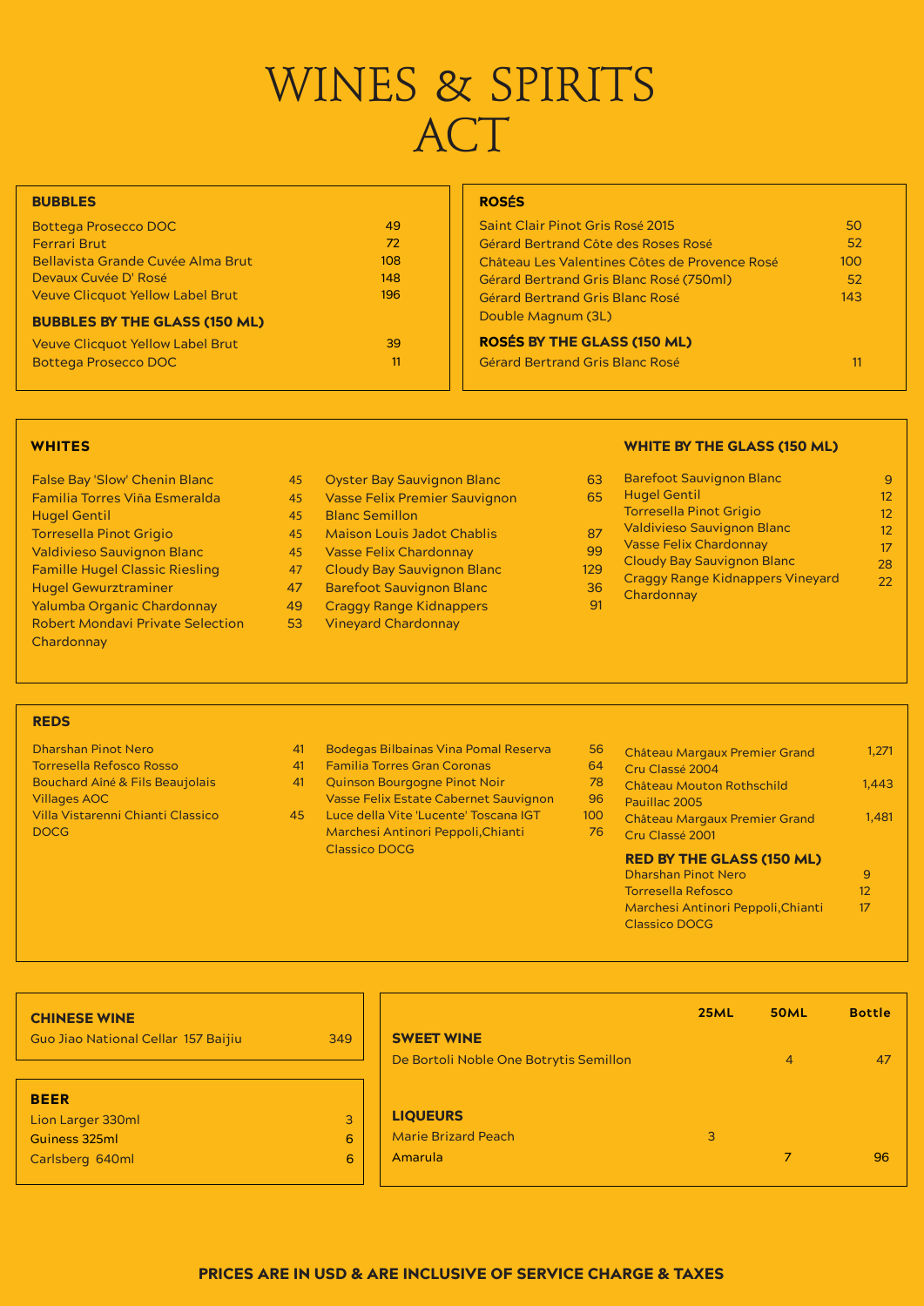# WINES & SPIRITS **ACT**

# **BUBBLES**

| 63  | <b>Barefoot Sauvignon Blanc</b>         | 9  |
|-----|-----------------------------------------|----|
| 65  | <b>Hugel Gentil</b>                     | 12 |
|     | <b>Torresella Pinot Grigio</b>          | 12 |
| 87  | <b>Valdivieso Sauvignon Blanc</b>       | 12 |
| 99  | <b>Vasse Felix Chardonnay</b>           | 17 |
| 29  | <b>Cloudy Bay Sauvignon Blanc</b>       | 28 |
|     | <b>Craggy Range Kidnappers Vineyard</b> | 22 |
| 36  | Chardonnay                              |    |
| -91 |                                         |    |

# PRICES ARE IN USD & ARE INCLUSIVE OF SERVICE CHARGE & TAXES

- False Bay 'Slow' Chenin Blanc Familia Torres Viña Esmeralda Hugel Gentil Torresella Pinot Grigio Valdivieso Sauvignon Blanc Famille Hugel Classic Riesling Hugel Gewurztraminer Yalumba Organic Chardonnay Robert Mondavi Private Selection **Chardonnay**
- Oyster Bay Sauvignon Blanc 45
- Vasse Felix Premier Sauvignon 45
- Blanc Semillon 45
- Maison Louis Jadot Chablis 45
- Vasse Felix Chardonnay 45
- Cloudy Bay Sauvignon Blanc 47
- Barefoot Sauvignon Blanc 47
- Craggy Range Kidnappers 49
- Vineyard Chardonnay 53

| <b>CHINESE WINE</b>                 |                |                                        | <b>25ML</b> | <b>50ML</b> | <b>Bottle</b> |
|-------------------------------------|----------------|----------------------------------------|-------------|-------------|---------------|
| Guo Jiao National Cellar 157 Baijiu | 349            | <b>SWEET WINE</b>                      |             |             |               |
|                                     |                | De Bortoli Noble One Botrytis Semillon |             | 4           | 47            |
| <b>BEER</b>                         |                |                                        |             |             |               |
| Lion Larger 330ml                   | 3 <sup>1</sup> | <b>LIQUEURS</b>                        |             |             |               |
| Guiness 325ml                       | $6\phantom{1}$ | <b>Marie Brizard Peach</b>             | 3           |             |               |
| Carlsberg 640ml                     | 6              | Amarula                                |             |             | 96            |
|                                     |                |                                        |             |             |               |

# WHITES WHITE BY THE GLASS (150 ML)

| Saint Clair Pinot Gris Rosé 2015               | 50  |  |
|------------------------------------------------|-----|--|
| Gérard Bertrand Côte des Roses Rosé            | 52  |  |
| Château Les Valentines Côtes de Provence Rosé  | 100 |  |
| <b>Gérard Bertrand Gris Blanc Rosé (750ml)</b> | 52  |  |
| Gérard Bertrand Gris Blanc Rosé                | 143 |  |
| Double Magnum (3L)                             |     |  |
| <b>ROSÉS BY THE GLASS (150 ML)</b>             |     |  |
| Gérard Bertrand Gris Blanc Rosé                | 11  |  |

# ROSÉS

# RED BY THE GLASS (150 ML)

## REDS

| <b>Bottega Prosecco DOC</b>              | 49  |
|------------------------------------------|-----|
| <b>Ferrari Brut</b>                      | 72  |
| <b>Bellavista Grande Cuvée Alma Brut</b> | 108 |
| Devaux Cuvée D' Rosé                     | 148 |
| <b>Veuve Clicquot Yellow Label Brut</b>  | 196 |
| <b>BUBBLES BY THE GLASS (150 ML)</b>     |     |
| <b>Veuve Clicquot Yellow Label Brut</b>  | 39  |
| <b>Bottega Prosecco DOC</b>              | 11  |

- Dharshan Pinot Nero Torresella Refosco Rosso Bouchard Aîné & Fils Beaujolais Villages AOC Villa Vistarenni Chianti Classico DOCG
- Bodegas Bilbainas Vina Pomal Reserva 41
- Familia Torres Gran Coronas 41
- Quinson Bourgogne Pinot Noir Vasse Felix Estate Cabernet Sauvignon 41
- Luce della Vite 'Lucente' Toscana IGT Marchesi Antinori Peppoli,Chianti Classico DOCG 45
- 56 1,271 Château Margaux Premier Grand
- 64 Cru Classé 2004
- 78 1,443 Château Mouton Rothschild
- 96 Pauillac 2005

12

- 100 76 1,481 Château Margaux Premier Grand
	- Cru Classé 2001

| <b>Dharshan Pinot Nero</b>         |     |
|------------------------------------|-----|
| <b>Torresella Refosco</b>          | 12. |
| Marchesi Antinori Peppoli, Chianti | 17  |
| <b>Classico DOCG</b>               |     |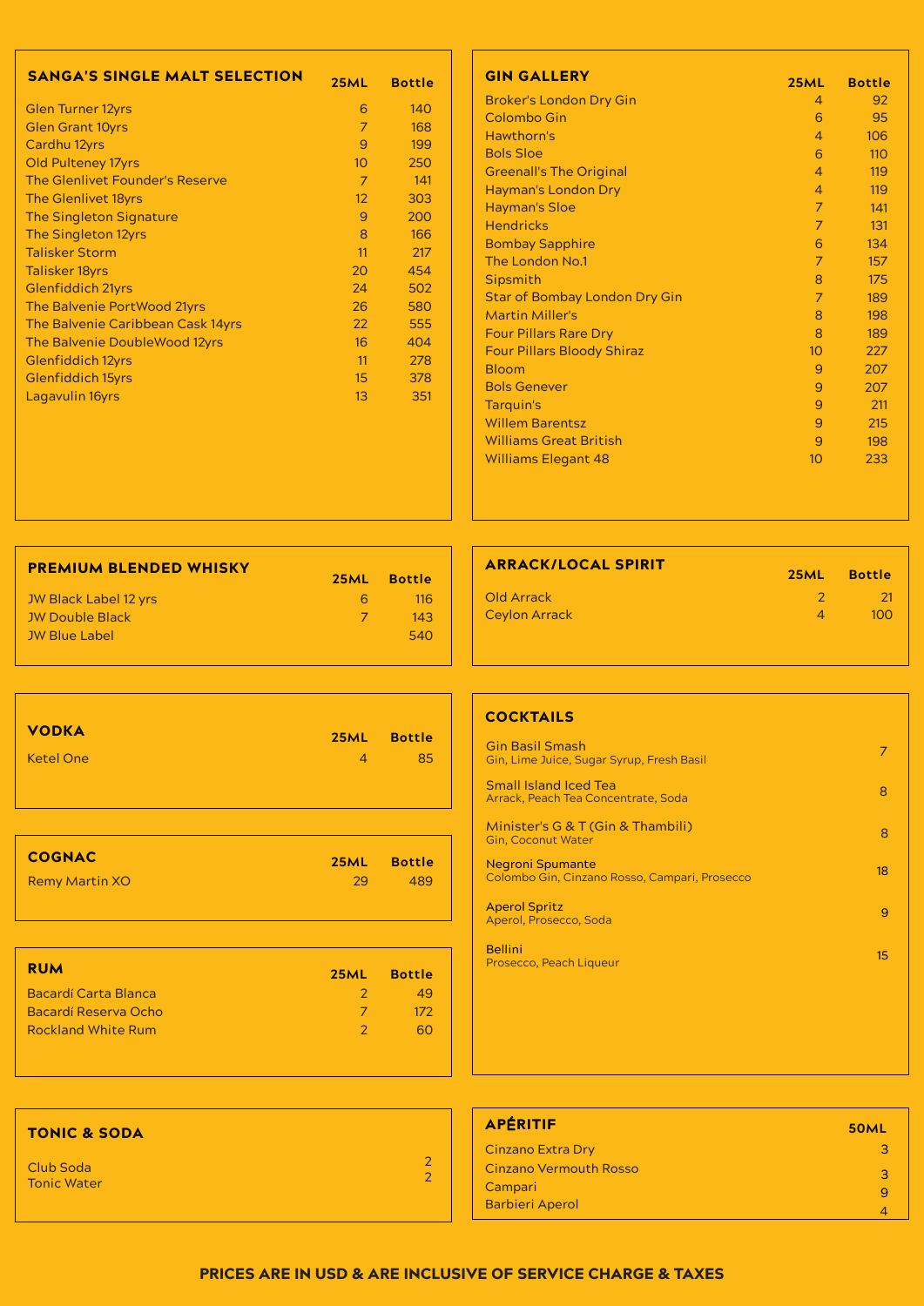| <b>PREMIUM BLENDED WHISKY</b> |               |               |
|-------------------------------|---------------|---------------|
|                               | <b>25ML</b>   | <b>Bottle</b> |
| JW Black Label 12 yrs         | 6.            | <u> 116</u>   |
| <b>JW Double Black</b>        | $\mathcal{L}$ | 143           |
| <b>JW Blue Label</b>          |               | 540           |
|                               |               |               |

| <b>VODKA</b>          | 25ML           | <b>Bottle</b> |
|-----------------------|----------------|---------------|
| <b>Ketel One</b>      | $\overline{4}$ | 85            |
| <b>COGNAC</b>         | <b>25ML</b>    | <b>Bottle</b> |
| <b>Remy Martin XO</b> | 29             | 489           |
| <b>RUM</b>            | 25ML           | <b>Bottle</b> |

# **COCKTAILS**

| <b>Bacardí Carta Blanca</b> |  |
|-----------------------------|--|
| Bacardí Reserva Ocho        |  |
| <b>Rockland White Rum</b>   |  |
|                             |  |
|                             |  |

| <b>ARRACK/LOCAL SPIRIT</b> | <b>25ML</b> | <b>Bottle</b> |
|----------------------------|-------------|---------------|
| Old Arrack                 | $2^{\circ}$ | -21           |
| <b>Ceylon Arrack</b>       | 4           | ിററ           |

| <b>SANGA'S SINGLE MALT SELECTION</b>   | <b>25ML</b>       | <b>Bottle</b> |
|----------------------------------------|-------------------|---------------|
| <b>Glen Turner 12yrs</b>               | 6                 | 140           |
| <b>Glen Grant 10yrs</b>                | 7                 | 168           |
| Cardhu 12yrs                           | 9                 | 199           |
| <b>Old Pulteney 17yrs</b>              | 10 <sup>°</sup>   | 250           |
| <b>The Glenlivet Founder's Reserve</b> | 7                 | 141           |
| <b>The Glenlivet 18yrs</b>             | $12 \overline{ }$ | 303           |
| <b>The Singleton Signature</b>         | 9                 | 200           |
| The Singleton 12yrs                    | 8                 | 166           |
| <b>Talisker Storm</b>                  | 11                | 217           |
| <b>Talisker 18yrs</b>                  | 20                | 454           |
| <b>Glenfiddich 21yrs</b>               | 24                | 502           |
| The Balvenie PortWood 21yrs            | 26                | 580           |
| The Balvenie Caribbean Cask 14yrs      | 22                | 555           |
| The Balvenie DoubleWood 12yrs          | 16                | 404           |
| <b>Glenfiddich 12yrs</b>               | 11                | 278           |
| <b>Glenfiddich 15yrs</b>               | 15                | 378           |
| Lagavulin 16yrs                        | 13                | 351           |

| <b>GIN GALLERY</b>                   | <b>25ML</b>     | <b>Bottle</b> |
|--------------------------------------|-----------------|---------------|
| <b>Broker's London Dry Gin</b>       | 4               | 92            |
| <b>Colombo Gin</b>                   | 6               | 95            |
| Hawthorn's                           | 4               | 106           |
| <b>Bols Sloe</b>                     | 6               | 110           |
| <b>Greenall's The Original</b>       | 4               | 119           |
| <b>Hayman's London Dry</b>           | $\overline{4}$  | 119           |
| <b>Hayman's Sloe</b>                 | 7               | 141           |
| <b>Hendricks</b>                     | $\overline{7}$  | 131           |
| <b>Bombay Sapphire</b>               | 6               | 134           |
| The London No.1                      | $\overline{7}$  | 157           |
| <b>Sipsmith</b>                      | 8               | 175           |
| <b>Star of Bombay London Dry Gin</b> | 7               | 189           |
| <b>Martin Miller's</b>               | 8               | 198           |
| <b>Four Pillars Rare Dry</b>         | 8               | 189           |
| <b>Four Pillars Bloody Shiraz</b>    | 10 <sup>°</sup> | 227           |
| <b>Bloom</b>                         | 9               | 207           |
| <b>Bols Genever</b>                  | 9               | 207           |
| Tarquin's                            | 9               | 211           |
| <b>Willem Barentsz</b>               | 9               | 215           |
| <b>Williams Great British</b>        | 9               | 198           |
| <b>Williams Elegant 48</b>           | 10              | 233           |



# PRICES ARE IN USD & ARE INCLUSIVE OF SERVICE CHARGE & TAXES

| <b>Gin Basil Smash</b><br>Gin, Lime Juice, Sugar Syrup, Fresh Basil      |    |
|--------------------------------------------------------------------------|----|
| <b>Small Island Iced Tea</b><br>Arrack, Peach Tea Concentrate, Soda      |    |
| Minister's G & T (Gin & Thambili)<br><b>Gin, Coconut Water</b>           | 8  |
| <b>Negroni Spumante</b><br>Colombo Gin, Cinzano Rosso, Campari, Prosecco | 18 |
| <b>Aperol Spritz</b><br>Aperol, Prosecco, Soda                           | 9  |
| <b>Bellini</b><br>Prosecco, Peach Liqueur                                | 15 |

| <b>APÉRITIF</b>               | <b>50ML</b> |
|-------------------------------|-------------|
| <b>Cinzano Extra Dry</b>      | ∍           |
| <b>Cinzano Vermouth Rosso</b> | з           |
| Campari                       |             |
| <b>Barbieri Aperol</b>        |             |